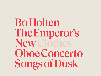Bo Holten The Emperor's New ClothesOboe Concerto Songs of Dusk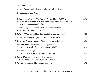Bo Holten (b. 1948)

Odense Symphony Orchestra conducted by Bo Holten

*World premiere recordings*

| Kejserens nye klæder (The Emperor's New Clothes) (2004)<br>A concert opera for tenor, baritone, choir of upper voices and orchestra<br>Libretto by Eva Sommestad Holten | 23:32 |
|-------------------------------------------------------------------------------------------------------------------------------------------------------------------------|-------|
| Gert Henning-Jensen, tenor / Palle Knudsen, baritone<br>Vocal Ensemble Musica Ficta                                                                                     |       |
| 1 <i>Kejseren i klædeskabet</i> (The Emperor in the dressing room)                                                                                                      | 3:17  |
| 2 <i>Bedragerne kommer til byen</i> (The Swindlers come to town)                                                                                                        | 3:44  |
| 3 <i>Væven går, hænderne danser!</i> (Weaving – shuttles flying!)                                                                                                       | 2:06  |
| 4 Kejseren sender embedsmænd til at inspicere tøjet<br>(The Emperor sends officials to inspect the cloth)                                                               | 3:46  |
| 5 Kejseren vil selv se tøjet<br>(The Emperor wants to see the clothes for himself)                                                                                      | 3:26  |
| 6 Klæder bliver syet og kejseren bliver klædt på<br>(Clothes are sewn and the Emperor is dressed)                                                                       | 4:21  |
| 7 Den store procession (The great procession)                                                                                                                           | 2:52  |

Dacapo Records is supported by the **DANISH ARTS FOUNDATION**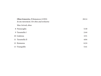| <b>Oboe Concerto, Il Romanesco (1995)</b><br>In one movement. For oboe and orchestra | 28:14 |
|--------------------------------------------------------------------------------------|-------|
| Max Artved, oboe                                                                     |       |
| 8 Passacaglia                                                                        | 5:30  |
| 9 Tarantella I                                                                       | 2:44  |
| 10 Cadenza                                                                           | 3:51  |
| 11 Tarantella II                                                                     | 4:04  |
| 12 Romanza                                                                           | 6:24  |
| 13 Tranquillo                                                                        | 5:41  |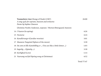| <b>Tusmørkets viser (Songs of Dusk) (1987)</b><br>A song cycle for soprano, bassoon and orchestra<br>Poems by Sophus Claussen<br>Christine Nonbo Andersen, soprano / Morten Østergaard, bassoon | 26:00 |
|-------------------------------------------------------------------------------------------------------------------------------------------------------------------------------------------------|-------|
| 14 <i>I Vaaren</i> (In spring)                                                                                                                                                                  | 4:26  |
| 15 Nocturne                                                                                                                                                                                     | 4:24  |
| 16 <i>Kavallérsorger</i> (Cavalier worries)                                                                                                                                                     | 3:01  |
| 17 <i>Maanens Tungsind</i> (Spleen of the moon)                                                                                                                                                 | 3:30  |
| 18 Du som en lille Kattekilling er  (You are like a little kitten )                                                                                                                             | 1:03  |
| 19 Sagtelig  (Quietly )                                                                                                                                                                         | 3:30  |
| 20 <i>Kærlighed</i> (Love)                                                                                                                                                                      | 1:14  |
| 21 Vaarsang ved Jul (Spring song at Christmas)                                                                                                                                                  | 4:52  |
|                                                                                                                                                                                                 |       |

Total 77:47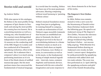# Stories told and untold

by Andrew Mellor

With nine operas in his catalogue, Bo Holten is the most prolific living composer of lyric theatre in Denmark and among the most prolific the country has ever known. He is a practising musician as well as a writing one, who founded two of his country's most distinguished independent vocal consorts, spent 16 seasons on the conducting staff of the BBC Singers in London and has conducted all of Denmark's symphony orchestras, often in his own music. He is adamant that a composer's place is as much among performing musicians as it is in front of the blank sheets of unfilled manuscript paper. But his most partisan stance has concerned the fundamentals of musical language.

In a torrid time for tonality, Holten has been one of its most passionate advocates, likening composing without tonal harmony to 'painting without colour.'

Holten's musical foundation stones range from jazz to polyphony. In training himself to compose, he made an orchestration of Carl Nielsen's organ monolith *Commotio* that became an established test piece in Denmark; the idea of biological survival in the face of overwhelming darkness is a theme in Holten's music as much as in Nielsen's (both share an impish sense of humour, too). Holten returns, in conversation as well as in his music, to the fundamental beauty of simple musical ingredients – intervals, tunes, common rhythmic and harmonic devices. Seasoned with his own colourful imagination and acute response to

text, those elements lie at the heart of his works.

# **The Emperor's New Clothes**  (2004)

In 2004, Holten was commissioned to write a new score for the bicentenary of Danish writer Hans Christian Andersen's birth the following year. He opted to set Andersen's story of *The Emperor's New Clothes*, 'because the relevance of this story is so strong that I always wondered why nobody had done it before – not successfully anyway.' With librettist Eva Sommestad Holten drawing on Andersen's own words, he fashioned a 'concert opera' designed to be easily presentable by symphony orchestras with added choir and two male soloists. The score was first performed on 21 April 2005 by the symphony orchestra and girls' choir of the Danish Broadcasting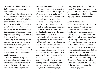Corporation (DR) at their home in Copenhagen, conducted by the composer.

At the heart of Andersen's story is the deception of the swindlers who fashion the invisible clothes, as well as the delusion of the Emperor and his blindly adoring people. Holten emphasises the former by having one male singer take the parts of both masquerading craftsmen, singing in tenor and baritone registers.

The Emperor is sung by a separate baritone who also narrates, while the ladies' choir, divided into three, acts as commentator and onlooker (here, the three parts are taken by a small ensemble of adult singers).

The story moves at a pace, but each scene has its dramatic crux, underlined by a score written intentionally 'in a style that can be understood by anyone, even

children.' The music is full of narrative detail but signals the central transition, in which the deception of the story starts to make itself felt, with a more fundamental shift in mood. Along the way, there are plenty of skilful pastiches – Ravelian in style when the tenor swindler protests his pre-eminence in French, and of an American minimalist lineage when the imaginary looms begin to turn.

Minimalism is referenced at the very end of the work too after the child of Andersen's story shouts out that the Emperor 'has no clothes on.' While the orchestra *en masse*  plays a posturing march, a faction of musicians begins to speed up in a gesture Holten compares to Steve Reich's phasing techniques. 'The idea is that the Emperor's brain actually splits at this point. He is more or less exploding and with that, and the riot of the people,

everything goes bananas,' he explains. The effect could also be compared to the absurdity of oppression conveyed, in a similarly militaristic style, by Dmitri Shostakovich.

#### **Oboe Concerto** (1995)

Holten has scored some of the most iconic films in Danish cinematographic history including Lars von Trier's *Forbrydelsens element*  (The Element of Crime, 1984) and Bille August's *Tro, håb og kærlighed*  (Truth, Hope and Love, 1984). When working on August pictures in the 1980s, Holten became intrigued by the expressive cinematic power of the oboe, particularly that of Bjørn Carl Nielsen, who then occupied the principal oboe chair in the Danish National Symphony Orchestra. The concerto Holten wrote for Nielsen in 1994-95 is full of the lyricism that marked the oboist's playing out.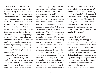The bulk of the concerto was written in Rome and much of it is thematically linked to the city. The theme that opens the score on second violins and violas is a medieval Roman melody in the Dorian mode; the reel that takes root at the start of the second movement is an Italian *Tarantella* from the same period. It isn't just the musical material that is mined from the past. The piece includes a baroque-style passacaglia (music controlled by the looping repetition of a bass line implying certain harmonies) and eventually churns up something like a Lutheran chorale, which is mined by Holten for plenty of harmonic value.

In a *Molto lento* intermezzo shortly before the *Tranquillo* section towards the concerto's end, solo flute, clarinet, violin and viola join the oboe in a dreamy passage with a notable structure. Playing *ad*  *libitum* and very gently, those instruments offer versions of the concerto's main theme – itself founded on the consecutive spelling out of a perfect fourth, perfect fifth and major sixth from the same starting note – that reference moments in iconic scores by Händel ('Rejoice Greatly' from *Messiah*), Schumann ('Träumerei' from *Kinderszenen*) and Strauss ('Beim Schlafengehen' from *Four Last Songs*). 'The brain is pondering on this all-European, all-times theme that exists in every sphere,' explains the composer.

More fundamental is a persistent tonal argument between the major and minor modes that sets the tone of the work even up to its final bar when the music appears to have settled on a major third, until the soloist slips unsettlingly down into the minor. All this gives the concerto the feeling of a haunted pastoral to which we sense the horn

section holds vital secrets (two horns join in one of the concerto's cadenzas, while the oboe slides up and down in painful glissandos). 'It is the basic truth of being a human being,' says Holten; 'that comedy and tragedy are the front-side and back-side of everything. All of human life and animal life has to face this constantly, however privileged a life we lead.'

#### **Songs of Dusk** (1987)

After studying musicology at the University of Copenhagen, Holten trained as a bassoonist at the Royal Danish Academy of Music. In the mid-1980s, he was commissioned to write a bassoon concerto that he sketched at length, before concluding that the expressive possibilities of a bassoon concerto 'last around 8 minutes' and abandoning the project. At the same time, he was keen to write for a soprano he was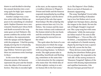drawn to and decided to develop the unused sketches into a new song cycle for high, lyric soprano with obbligato bassoon.

Another catalyst was a creative artist with whom Holten appears to be something of a kindred spirit. Sophus Claussen was a neoromantic Danish poet whose birth and death occurred in the very same years as Carl Nielsen's. His poems combine the archaic with the modern, the expressionistic with the opaque and the flippant with the poignant. 'I find his poetry deeply moving but it is basically always about women and sex,' says Holten; 'however you read it there are enormous erotic leanings in there.'

In the score that sets eight Claussen poems, the bassoon represents the poet and the female voice the object of his sensual affection. That idea is encoded right

at the start, as the soprano sings a wordless reference to Wagner's *Tristan und Isolde* and the bassoon responds immediately by recalling the opening high C and the downward peal of the solo that opens Stravinsky's *The Rite of Spring* (the gesture returns later on). It is, for Holten, 'the woman and the man: the inner violence and crudeness of the human mind on the one hand, and the eroticism of the poems and longing for eternal love on the other.'

The cycle takes the form of a continuous piece in which the songs are linked, 'a series of atmospheres with recurring themes,' in Holten's words. The eight poems take in absurdity, heartbreak and fleeting joy, sometimes at the same time – a vital attraction for the composer who states that 'the whole idea of all this stylistic variety is to mirror human life in the best sense.'

As in *The Emperor's New Clothes*, there is no lack of thematic or dramatic signposting.

The song 'Kærlighed' (Love) talks of the painful futility of abandoning to love but Holten sets it as an uptight neo-baroque dance, placing the tongue in the cheek. He sets the tale of Dingle-Dangle's wayward son 'like a pop song but with some refinement,' while the *moto perpetuo* feline tread of 'Du som en lille Kattekilling er …' (You are like a little kitten …) manipulates the rhythmic emphasis of a Danish nursery rhyme by moving its tune a quaver to the left, across the bar line.

Those devices create depth and duality but elsewhere Holten gives it to us straight. He responds to the 'soft silk' of the snowy avenues in 'Maanens Tungsind' (Spleen of the moon) with dreamy impressionism and reptilian harmonies. Like the jazz-baroque ground bass of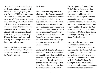'Nocturne', the love song 'Sagtelig ...' (Quietly ...) gets its gentle intimacy from the language of jazz, with 'a sort of Bill Evans harmony.' The emotional damage of 'Vaarsang ved Jul' (Spring song at Christmas) is writ large in Holten's dusky, doleful setting that appears to sit on a knife-edge of tension as it contemplates life in the empty beauty of dusk with harmonies stripped bare. 'It is a question mark,' says Holten: 'is there anything good coming or is all hope lost? Somehow, I have a little hope.'

*Andrew Mellor is a journalist and critic with a particular interest in the culture and music of Denmark and the Nordic countries*

#### **Performers**

Tenor **Gert Henning-Jensen** was educated at the Opera Academy in Copenhagen and Mozarteum Salzburg. Since then, he has been engaged as a lyric tenor at the Royal Danish Opera – today he sings in the world's great opera houses and concert halls. He has performed at the Metropolitan Opera, Covent Garden, Staatsoper Berlin and the Opéra Bastille with conductors such as Bernard Haitink, Guiseppe Sinopoli, James Levine, and Richard Hickox.

Baritone **Palle Knudsen** became a member of the soloist ensemble at the Royal Danish Opera in 1999 he where he saw great success in his first season performing as Papageno in Mozart's *The Magic Flute*. Since then he has sung more than 25 different operas at the Royal

Danish Opera, in London, New York, Tel Aviv, Paris, and other opera houses around the world. Most recent and future engagements include Vaughan Williams' *Dona nobis pacem* and Mahler's *Lieder eines fahrenden Gesellen* with Aarhus Symphony Orchestra, *Don Giovanni* at Israeli Opera, Tel Aviv as well as Marcello in *La bohème*, Sharpless in *Madama Butterfly* and Sweeney in *Sweeney Todd* at the Royal Danish Opera.

**Max Artved** is a renowned solooboist and chamber musician. From 1991-2010 he was the principal oboist in the Danish National Symphony Orchestra. He has worked as a soloist in several contexts and toured most of the world with the Danish National Symphony Orchestra and recorded many essential symphonies, among these the collective symphonies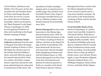of Carl Nielsen, Beethoven and Mahler. Over the years, he has also recorded solo and chamber music for Naxos and Dacapo Records. Until 2018, he was for 14 years the artistic director of Diamant-Ensemblet, which was housed in the 'Black Diamond' at the Royal Library, Copenhagen. In 2009, he was appointed Professor of oboe and woodwinds at the Royal Danish Academy of Music.

The soprano **Christine Nonbo Andersen** graduated from the class of Margrete Enevold at the Royal Danish Academy of Music in 2014. She began her musical career in the Danish National Children's Choir, and until 2004 she sang in the Danish National Girls' Choir. As a soloist, she holds a comprehensive repertoire and moves with great authenticity from early music to productions of film music. She

specialises in Italian madrigal singing and is an experienced ensemble singer who, besides Vocal Ensemble Musica Ficta, sings in the baroque ensemble Barocca as well as a fulltime position at the Danish National Vocal Ensemble since 2016.

**Morten Østergaard** has been solo bassoonist in the Odense Symphony Orchestra since 1998. He trained with Erik Carstensen at the Carl Nielsen Academy of Music in Odense, and later at the Royal College of Music in Stockholm with Knut Sønstevold. He has been solo bassoonist with the Swedish Radio Symphony Orchestra and with the Malmö Opera. In 1996, Morten Østergaard won First Prize in the first international competition for bassoon quartets in Berlin as a member of the Stockholm Bassoon Quartet. Morten

Østergaard has been a soloist with the Odense Symphony Orchestra on several occasions and is a very active chamber musician. He also teaches at the South Jutland Academy of Music and the Danish Theatre School.

**Vocal Ensemble Musica Ficta**,

based in Copenhagen, is a professional vocal ensemble, founded in 1996 by Bo Holten. With this ensemble, he has realised his vision of a highly flexible ensemble, where the classical Oxbridge early music ideal is combined with the warmth of the Scandinavian choral sound. On this recording, Vocal Ensemble Musica Ficta is made up solely of female voices: Ann-Christin Wesser Ingels, Louise Therkelsen Odgaard, Marianne Mailund Heuer, Eva Wöllinger-Bengtson, Hanne Marie le Fevre, and Sofia Thelin Edgren.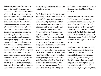**Odense Symphony Orchestra** is one of Denmark's five regional orchestras. The orchestra was founded in 1946, but its roots go as far back as around 1800. From being a theatre orchestra that also played symphonic music, the orchestra today appears as a modern symphony orchestra with a high level of activity. The orchestra's repertoire has a wide range and covers everything from film concerts, chamber music, family concerts to the great symphonic works and opera, such as Richard Wagner's *Der Ring des Nibelungen*. Odense Symphony Orchestra had 22 musicians at its founding but has grown to 73 permanent musicians over the years, from Denmark and all over the world. The orchestra performs around 100 concerts a year. The majority of the concerts take place in the Carl Nielsen Hall in Odense's Concert House, but the orchestra

tours throughout Denmark and the rest of the world.

**Bo Holten** is known for his work as both composer and conductor. He is especially known for his expertise in early vocal polyphony and his list of works comprises more than 100 pieces. He is the founder and the principal conductor of Vocal Ensemble Musica Ficta and has served as guest conductor for the BBC Singers. He was the principal conductor for the Flemish Radio Choir in Bruxelles until 2012. As a composer, Bo Holten has expressed himself successfully across the genre spectrum. However, he seems particularly interested in opera and vocal music. His operas, including *The Royal Physician's Visit* (2008) and *Gesualdo – Shadows* (2014) are some of the most acclaimed and performed Danish operas of recent times. His latest opera *Schlagt sie* 

*tot!* about Luther and the Reformation premiered at Malmö Opera in 2019.

**Hans Christian Andersen** (1805-

1875) was a Danish writer who became world famous through his fairy tales, loved by adults and children alike. *The Emperor's New Clothes* is among the best known, along with *The Ugly Duckling* and *The Little Mermaid.* Andersen also influenced many English children's authors, including A.A. Milne and Beatrix Potter.

**Eva Sommestad Holten** (b. 1957) is a Swedish stage designer and librettist, whose dramatic texts are highly indebted to her deep insight into performance practice. She has worked on several large scale opera projects, including *Maria Paradis* (1999), *The Visit of The Royal Physician* (2008),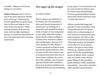# *Gesualdo – Shadows* (2014) and *Schlagt sie tot!* (2017).

**Sophus Claussen** (1865-1931) is one of the most important Danish poets of his age. Influenced by French Symbolism he spent much time in Paris and Italy as a freelance writer and painter. While seeking aesthetic perfection he tried, with his light rhythmical poetry, to transform impressions of the erotic dimension into visionary experiences.

# Det sagte og det usagte

#### af Andrew Mellor

Med ni operaer på værklisten er Bo Holten den mest produktive nulevende danske komponist af musikteater og samtidig en af Danmarks mest produktive nogensinde. Foruden at være komponist er han tillige udøvende musiker og har blandt andet grundlagt to af landet mest markante uafhængige vokalgrupper, gennem 16 år været dirigent for BBC Singers i London og desuden dirigeret samtlige danske symfoniorkestre, ofte i sin egen musik. Han insisterer på, at komponistens plads ikke kun er foran tomme nodeark, der venter på at blive udfyldt, men i høj grad også ude blandt aktive musikere. Hans mest markante holdning har imidlertid med selve det musikalske

sprog at gøre. I en stormomsust tid for tonal musik har Holten været en af dens mest lidenskabelige fortalere og sammenlignet komposition uden tonale harmonier med "at male uden farver."

Holtens musikalske baggrund spænder fra jazz til polyfoni. Som kompositionsøvelse for sig selv skabte han en orkesterudgave af Carl Nielsens monumentale orgelværk *Commotio*, der siden er blevet et etableret konkurrenceværk i Danmark; tanken om biologisk overlevelse over for et massivt mørke er da også et tema i både Holtens og i Nielsens musik (ligesom de har den underfundige humor til fælles). Såvel i samtale som i sin musik vender Holten gerne tilbage til den grundlæggende skønhed i enkle musikalske bestanddele – intervaller, melodier, enkle rytmiske og harmoniske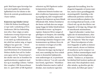greb. Med hans egen farverige fan- orkestret og DR Pigekoret under tasi som krydderi og minutiøse lydhørhed over for tekster er det blevet de centrale grundelementer *i* hans værker.

Kejserens nye klæder (2004) I 2004 fik Holten bestilling på et nut værk i anledning af H.C. Andersens 200-års fødselsdag året efter. Han valgte at sætte Andersens eventyr Kejserens nye klæder i musik, "fordi historien er så stærk og vedkommende, at det altid har undret mig, at ingen tidligere har gjort det  $-i$  hvert fald ikke med succes." Sammen med librettisten Eva Sommestad Holten skabte han ud fra Andersens egne ord en "koncertopera", der skulle være let at fremføre for symfoniorkestre suppleret med kor og to mandlige solister. Værket blev uropført i DR Koncerthuset den 21. april 2005 af DR Symfonikomponistens ledelse.

Andersens historie kredser om dels svindlernes fupnummer med at sy usynligt tøj, dels vrangforestillingerne hos kejseren og hans blindt tilbedende folk. Holten fremhæver det første ved lade den ene sanger synge begge de falske håndværkere i henholdsvis tenor- og barytonregister. Kejseren bliver sunget af yderligere en baryton, der samtidig fungerer som fortæller, mens det trestemmige damekor fungerer som kommentator og tilskuer (hvor de tre stemmer overtages af en lille gruppe voksne sangere).

Historien bevæger sig hurtigt af sted, men samtidig har hver enkelt scene et dramatisk højdepunkt, som understreges af, at partituret bevidst er skrevet "i en stil, som alle kan forstå, også børn." Musikken fortæller historien med et væld af detaljer, men markerer også den

afgørende forvandling, hvor bedrageriet begynder at kunne mærkes, med et mere grundlæggende stemningsskift. Samtidig er der raffinerede pasticher undervejs – når tenorsvindleren plæderer for sin overlegenhed på fransk, er det i Ravel-stil, og når den fiktive væv begynder at bevæge sig, klinger det af amerikansk minimalisme.

Også til allersidst i værket hentydes der til minimalismen, efter at barnet i Andersens historie har råbt, at kejseren "ikke har noget på." Mens hovedparten af orkestret begynder at spille en demonstrativ march, skruer en fraktion af musikerne op for tempoet i en gestus, Holten sammenligner med Steve Reichs faseforskydningsteknik. "Tanken er, at kejserens bevidsthed helt konkret spaltes på dette sted. Han eksploderer mere eller mindre, og derefter går det hele amok, da folket gør oprør,"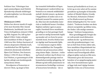forklarer han. Virkningen kan også sammenlignes med Dmitrij Sjostakovitjs absurde skildringer af undertrykkelse i en tilsvarende militaristisk stil.

#### **Obokoncert (1995)**

Holten har skrevet musik til nogle af de mest ikoniske film i dansk filmhistorie, heriblandt Lars von Triers *Forbrydelsens element* (1984) og Bille Augusts *Tro, håb og kærlighed* (1984). Under arbejdet med musikken til film af August i 1980'erne blev Holten fascineret af oboens ekspressive filmiske kraft, i særdeleshed hos DR Symfoniorkestrets daværende solooboist Bjørn Carl Nielsen. Den koncert, Holten i 1994-95 skrev til Bjørn Carl Nielsen, er gennemsyret af det lyriske udtryk som kendetegnede netop denne oboist.

Hovedparten af koncerten er skrevet i Rom, og meget af den

har tematisk forbindelse til byen. Åbningstemaet i andenvioliner og bratsch er en romersk middelaldermelodi i dorisk toneart, og dansen i begyndelsen af anden sats er en italiensk tarantel fra samme periode. Ikke kun det musikalske materiale er imidlertid hentet i fortiden. Stykket omfatter også en passacaglia i barokstil (hvor musikkens grundlag er en fast gentaget basfigur med en særlig harmonisk logik) og munder ud i en form for protestantisk koral, hvorfra Holten henter rigeligt med harmonisk fylde.

I et intermezzo angivet *Molto lento* umiddelbart før *Tranquillo*afsnittet tæt på koncertens afslutning slutter fløjte-, klarinet-, violinog bratsch-solister sig til oboen i en drømmelignende passage med en bemærkelsesværdig opbygning. *Ad libitum* og helt stille præsenterer instrumenterne forskellige versioner af koncertens hovedtema – der er

baseret på henholdsvis en kvart, en kvint og en stor sekst ud fra samme grundtone og hentyder til ikoniske værker af Händel (*Rejoice Greatly* fra *Messias*), Schumann (*Träumerei* fra *Kinderszenen*) og Strauss (*Beim Schlafengehen* fra *Vier Letzte Lieder*). "Tankerne kredser om dette alment europæiske og tidløse tema, der findes i alle mulige sammenhænge," forklarer komponisten.

Mere grundlæggende foregår der en vedvarende tonal diskussion mellem de dur- og moltonearter, som slår grundstemningen i værket an helt frem til den sidste takt, hvor musikken tilsyneladende har lagt sig fast på en stor terts, mens solisten med foruroligende effekt alligevel glider ned på en lille terts. Tilsammen giver det koncerten karakter af en spøgelsesagtig pastorale, hvor hornsektionen synes at ligge inde med vigtige hemmeligheder (i den ene af koncertens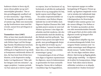kadencer slutter to horn sig til, mens oboen glider op og ned i smertefyldte glissader). "Det er den grundlæggende sandhed ved at være menneske," siger Holten, "at komedie og tragedie er to sider af samme sag. Både som menneske og dyr konfronteres man med det overalt, uanset hvor privilegeret et liv vi lever."

#### **Tusmørkets viser (1987)**

Efter at have læst musikvidenskab ved Københavns Universitet studerede Holten fagot ved Det Kongelige Danske Musikkonservatorium. I midten af 1980'erne fik han bestilling på en fagotkoncert og nåede at komponere omfattende skitser til den, før han kom frem til den konklusion, at de ekspressive muligheder i en fagotkoncert "ikke rækker længere end otte minutter", og opgav projektet. I samme periode var han opsat på at skrive noget til

en sopran, han var fascineret af, og besluttede at udvikle de uudnyttede skitser til en ny sangcyklus for høj, lyrisk sopran med obligat fagot.

En anden inspirationskilde var en kunstner, som Holten tilsyneladende har en del til fælles med. Digteren Sophus Claussen blev født og døde præcis samme år som Carl Nielsen og forener i sine digte det arkaiske med det moderne, det ekspressionistiske med det dunkle og det flabede med det gribende. "Jeg oplever hans poesi som dybt bevægende, men grundlæggende drejer det sig altid om kvinder og sex," siger Holten; "uanset hvordan man læser den, er der enorme erotiske strømninger i gang."

I tonesætningen af otte af Claussens digte er fagotten repræsentant for digteren, mens kvindestemmen er genstanden for hans sensuelle betagelse. Denne idé er indlejret i musikken lige fra begyndelsen,

hvor sopranen synger en ordløs hentydning til Wagners *Tristan og Isolde*, og fagotten omgående svarer ved at mindes det indledende høje C og den nedadgående bevægelse i åbningssoloen fra Stravinskys *Vårofferet* (den samme gestus vender senere tilbage). For Holten er det "kvinden og manden: på den ene side menneskesindets iboende vold og grovhed, på den anden side digtenes erotik og længsel efter evig kærlighed."

Sangkredsen udspiller sig som et sammenhængende forløb, hvor sangene bindes sammen som "en række stemninger med tilbagevendende temaer," kalder Holten det selv. De otte digte omfatter absurditeter, hjertesorg og flygtig glæde, nogle gange samtidig – en afgørende kvalitet for komponisten, ifølge hvem "hele idéen med al denne stilistiske variation er at afspejle menneskelivet i bedste forstand."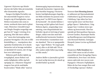Ligesom i *Kejserens nye klæder*  skorter det heller ikke på tematiske eller dramatiske signaler.

Sangen *Kærlighed* fortæller om det smertefuldt forgæves ved at hengive sig til kærligheden, men Holten tonesætter den som en stram, neobarok dans med et glimt i øjet. Historien i *Kavallérsorger* om Dingle-Dangles uregerlige søn gør han til "noget i retning af en popsang, blot lidt mere raffineret," mens den katteagtige *moto perpetuo-*bevægelse i *Du som en lille Kattekilling er …* manipulerer den rytmiske fremhævelse af et dansk børnerim ved at bevæge melodien en fjerdedel til venstre, det vil sige hen over taktstregen.

Sådanne greb skaber dybde og tvetydighed, mens Holten ved andre lejligheder stiller sig helt oprigtigt an. I *Maanens Tungsind* reagerer han på de sneklædte boulevarders "bløde silke" med en drømmeagtig impressionisme og krybende harmonier. Ligesom den jazz-barokke basgang i *Nocturne* henter kærlighedssangen *Sagtelig ...* sin blide intimitet fra jazzens tonesprog med "en Bill Evans-lignende harmonik". De sårede følelser i *Vaarsang ved Jul* rykkes helt frem i Holtens dystre, sørgmodige tonesætning, som tilsyneladende her befinder sig på en knivsæg af spændinger, sådan som den med helt nedbarberede harmonier funderer over tilværelsen i tusmørkets tomme skønhed. "Det er et spørgsmålstegn," siger Holten: "Er noget godt på vej, eller er alt håb ude? På en eller anden måde håber jeg stadig en lille smule."

*Andrew Mellor er journalist og kritiker med særlig interesse for dansk og nordisk kultur og musik.*

#### **Medvirkende**

Tenoren **Gert Henning-Jensen** er uddannet på Operaakademiet i København og på Mozarteum i Salzburg. Lige siden har han været lyrisk tenor ved Den Kongelige Opera i København. I dag synger han i verdens store operahuse og koncertsale. Han har optrådt på Metropolitan Operaen, Covent Garden, Staatsoper Berlin og Bastilleoperaen med dirigenter som Bernard Haitink, Guiseppe Sinopoli, James Levine og Richard Hickox.

Barytonen **Palle Knudsen** har siden 1999 været en del af solistensemblet på Den Kongelige Opera i København, hvor han i sin første sæson oplevede stor succes som Papageno i Mozarts *Tryllefløjten*. Siden da har han sunget flere end 25 forskellige operaer i Køben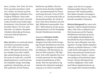havn, London, New York, Tel Aviv, Paris og andre operahuse rundt om i verden. De seneste og fremtidige forpligtelser inkluderer bl.a. Vaughan Williams' *Dona nobis pacem* og Mahlers *Lieder eines fahrenden Gesellen* med Aarhus Symfoniorkester, *Don Giovanni* ved Den Israelske Opera i Tel Aviv samt Marcello i *La bohème*, Sharpless i *Madame Butterfly* og Sweeney i *Sweeney Todd* på Operaen i København.

**Max Artved** er en anerkendt dansk solooboist og kammermusiker. Fra 1991-2010 var han 1. solooboist i DR Symfoniorkestret. Han har arbejdet som solist i adskillige sammenhænge og turneret i det meste af verden bl.a. med DR Symfoniorkestret, med hvem han har indspillet mange væsentlige symfonier, blandt disse, de samlede symfonier af Carl Nielsen,

Beethoven og Mahler. Han har gennem årene desuden indspillet solo- og kammermusik for Naxos og Dacapo Records. Frem til 2018 var han i 14 år kunstnerisk leder af DiamantEnsemblet, der havde til huse i Den Sorte Diamant som Det Kgl. Biblioteks husensemble. Han blev i 2009 udnævnt til obo og træblæserprofessor ved Det Kongelige Danske Musikkonservatorium.

Sopranen **Christine Nonbo Andersen** er uddannet hos Margrete Enevold ved Det Kongelige Danske Musikkonservatorium i 2014. Hun begyndte sin musikalske løbebane i DR Børnekoret og frem til 2004 sang hun i DR Pigekoret. Som solist spænder hun over et bredt repertoire fra den tidlige musik til produktioner af filmmusik. Hun har specialiseret sig indenfor den italienske madrigalsang og er en erfaren ensemble-

sanger, som ud over at synge i Vokalensemblet Musica Ficta er fastansat i DR Vokalensemblet. Hun dyrker desuden solosangen i barokensemblet Barocca og i andre førende ensembler i Danmark

**Morten Østergaard** har været solofagottist i Odense Symfoniorkester siden 1998. Han er uddannet hos Erik Carstensen på Det Fynske Musikkonservatorium og senere ved Kungliga Musikhögskolan i Stockholm hos Knut Sønstevold. Han har været tilknyttet som solofagottist i Sveriges Radios Symfoniorkester og Malmö Operaen. I 1996 vandt Morten Østergaard ved den første internationale konkurrence for fagotkvartet i Berlin 1. prisen som medlem af Stockholms Fagotkvartet. Morten Østergaard har ved flere lejligheder været solist med Odense Symfoniorkester og er en meget aktiv kammermusiker.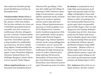Han underviser desuden på Syddansk Musikkonservatorium og Skuespillerskole.

**Vokalensemblet Musica Ficta** er et professionelt dansk vokalensemble, dannet i 1996 af Bo Holten. Her har han realiseret sin vision om et fleksibelt og projektorienteret ensemble, hvor den virtuose ensemblesang i alle dens afskygninger står i centrum. Vokalensemblet Musica Ficta favner et meget bredt repertoire. Ensemblets speciale er dog musikken fra middelalder og renæssance. På denne indspilning udgøres Vokalensemblet Musica Ficta af Ann-Christin Wesser Ingels, Louise Therkelsen Odgaard, Marianne Mailund Heuer, Eva Wöllinger-Bengtson, Hanne Marie le Fevre og Sofia Thelin Edgren.

**Odense Symfoniorkester** er et af Danmarks fem landsdelsorkestre. Orkestret blev grundlagt i 1946, men dets rødder går helt tilbage til omkring år 1800. Orkestret, oprindeligt et teaterorkester, som også spillede symfonisk musik, fremstår i dag som et moderne symfoniorkester med et højt aktivitetsniveau. Odense Symfoniorkesters repertoire er bredt og dækker over alt fra filmkoncerter, kammermusik, familiearrangementer til de store symfoniske værker og opera, blandt andet Richard Wagners *Nibelungens ring*. Odense Symfoniorkester havde ved grundlæggelsen 22 musikere, men er i årenes løb vokset støt og har nu 73 fastansatte medlemmer fra både Danmark og resten af verden. Orkestret giver årligt omkring 100 koncerter. Størstedelen af koncerterne foregår i Carl Nielsen Salen i Odense Koncerthus, men orkestret turnerer også i Danmark og resten af verden. **Bo Holten** er anerkendt for sit arbejde både som komponist og dirigent med speciale inden for den tidlige vokalpolyfoni. Hans værkliste tæller mere end 100 værker. Bo Holten er stifter af og dirigent for det Vokalensemblet Musica Ficta og har også virket som gæstedirigent for BBC Singers. Han var chefdirigent for Det Flamske Radiokor i Bruxelles frem til 2012. Som komponist har Bo Holten haft succes med at udtrykke sig på tværs af genrer, dog med særligt fokus på opera og vokalmusik. Holtens operaer, deriblandt *Livlægens besøg* (2008) og *Gesualdo – Shadows* (2014), er blandt nogle af de mest roste og spillede danske operaer i nyere tid. Hans seneste opera *Schlagt sie tot!* om Luther og reformationen havde premiere på Malmö Opera i 2019.

**H.C. Andersen** (1805-1875) var en dansk forfatter, der blev verdens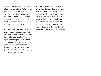berømt for sine eventyr, elsket af både børn og voksne. *Kejserens nye klæder* er blandt de mest kendte sammen med *Den grimme ælling* og *Den lille havfrue*. H.C. Andersen påvirkede også mange engelske børnebogsforfattere, herunder A.A. Milne og Beatrix Potter.

**Eva Sommestad Holten** (f. 1957) er en svensk scenograf og librettist, hvis dramatiske tekster er tæt forbundet med hendes dybe indsigt i performance-praksis. Hun har arbejdet på adskillige store operaproduktioner, herunder *Maria Paradis* (1999), *Livlægens besøg* (2008), *Gesualdo – Shadows* (2014) og *Schlagt sie tot!* (2017).

**Sophus Claussen** (1865-1931) er en af sin tids vigtigste danske digtere. Han var påvirket af fransk symbolisme og tilbragte en stor del af sin tid i Paris og Italien som freelanceskribent og kunstmaler. På vej mod sit mål om æstetisk perfektion lykkedes det ham at omdanne det ubevidst erotiske, det sanselige til visionær, rytmisk letflydende poesi.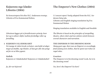# Kejserens nye klæder Libretto (2004)

En koncertopera frit efter H.C. Andersens eventyr. Libretto af Eva Sommestad Holten.

*Librettoen bygger på et fortællerteater-princip, hvor kor og to solister skifter mellem forskellige roller og fortælling.*

#### Kejseren i klædeskabet **1**

*For mange år siden levede en kejser, som holdt så uhyre meget af smukke, nye klæder, at han gav alle sine penge ud for ret at blive pyntet.*

Hoffolk Kejseren er i klædeskabet! Kejseren er i klædeskabet!

*Ja, dér var kejseren!*

# The Emperor's New Clothes (2004)

A 'concert opera' freely adapted from the H.C. Andersen fairy tale. Libretto and English singing translation by Eva Sommestad Holten

Singing translation available in English and Swedish

*The libretto is based on the principles of storytelling theatre, where choir and two soloists switch between several characters and narration.*

#### The Emperor in the dressing room

*Many years ago, there was an Emperor so exceedingly fond of fancy new clothes, that he spent vast riches on royal robes.*

#### **Courtiers**

The Emperor is in his dressing room! Look, he is in the dressing room!

*Yes, here's the Emperor! Yes here!*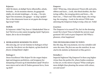# Kejseren

Ahh! Så skønt, så dejligt! Sarte silkestoffer, atlask, brokade … Se de stramme skørter, de gyngende sløjfer, de stivede kniplinger *…* Se mig … ! Se min figur! Det strammer, det gynger – se mig i spejlet! Det er den skønneste kunst at ret pynte den kongelige krop! Voilà!

# Hoffolk

Er kejseren i rådet? Nej, han er i klædeskabet! Han er her! Tid til at se den næste kongelige kjole! Nyd jeres kejser, det er da en fornøjelse!

# Bedragerne kommer til byen **2**

*Men den dag, der var der kommet to bedragere til kejserens by. Den første var den højeste, og han havde de fineste strømpebånd i sløjfer:*

## Bedrager 1

Deres Excellence! Min Kejser! Er der nogen højere dyd end dragtens perfektion, end kroppens fordampning til kunst og til skønhedens spejl? Hvad er mon større end at tale til Ånden gennem farve, form og duft?

#### Emperor

Ahh! ! What joy, what pleasure! Finest silk and satin, ribbon and laces … Look, this fitted doublet, the fluttering ruffles, the swaying skirts and bows *…* Ah, that's me … ! That's me! This noble shape, the swinging, the swaying *…* Look in the mirror! With taste adorning the Emperors body is truly a fine art. Voilà!

## **Courtiers**

The Emperor is in council? No, he's in the dressing room! He is here! Time to behold the newest royal garment! Ah! Look at your Emperor! Ah! What a pleasure, what happiness!

# The swindlers come to town

*But this day, this very moment, two true swindlers did enter the town. The first one was the stateliest, he was clad in the dainties of diamond-set blue garters:*

## Swindler 1

Imperial highness! My Emperor! Is there any higher virtue than the perfect fit, where bodies condense to fine art, to the mirror of grace? What could give more delight than pleasing the senses with colour, cut and scent?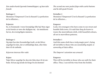*Den anden havde lyserøde lommeklapper, og han talte fransk:*

#### Bedrager 2

Monsieur l'Empereur! C'est la Beauté! La perfection de la réflexion *…*

# Kejseren

Se, to fremmede i vores fornøjelige lille by! Man siger at de forstår at væve det dejligste tøj – de smukkeste farver, de eventyrligste mønstre.

# Bedrager 1

Og tøjet har den forunderlige kraft, at det bliver usynligt for den, der er utilladeligt dum, eller ikke duer til sit embede.

# *Kejserens interesse blev vakt:*

# Kejser

Tøjet bliver usynligt for den der ikke duer til sit embede. Så kan jeg kende de kloge fra de dumme!

*The second one wore pocket flaps with scarlet buttons and he did speak French:*

# Swindler 2

Monsieur l'Empereur! C'est la Beauté! La perfection de la réflexion *…*

# Emperor

Look, two strangers who have come to our sweet and humble little town. It's said that they do know to weave the most delicate cloth, with beautiful colours, all set in marvellous patterns.

# Swindler 1

And this same cloth has a truly magic pow'r, being all-invisible to those who are unsuitably stupid. or unworthy of their office.

# *The Emperor's attention was aroused:*

## Emperor

This will be invisible to those who are unfit for their office. Thus, I can tell the wise from the foolish.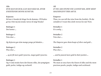#### Alle

# *HVIS MAN ER DUM, KAN MAN IKKE SE, HVOR ENESTÅENDE DENNE KUNST ER.*

#### Kejseren

Så kan vi kende de kloge fra de dumme. *(Til bedragerne:)* Det tøj må straks væves til mig! Straks!

Bedrager 1 Det koster …

Bedrager 2 Très cher …

*Og Kejseren gav dem mange penge på hånden …*

Bedrager 2 Plus cher *…*

*… og de fik mere guld i poserne, meget guld i poserne.*

Bedrager 1 Og vi små straks have det fineste silke, det prægtigste guld, perler, indigo og cochenil.

*IF YOU ARE STUPID YOU CANNOT SEE, HOW MOST MAGNIFICENT THIS ART IS.*

#### Emperor

All

Thus, we can tell the wise from the foolish. *(To the swindlers)* I want this cloth woven for me! Now.

Swindler 1 It's costly …

Swindler 2 Très cher …

*The Emperor gave them heaps of silver and gold …*

Swindler 2 Plus cher *…*

*… and he poured more gold in their pockets …*

## Swindler 1

We must at once have the finest of silks and the most precious pearls, purple, indigo and cochineal.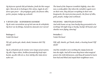*Og kejseren rystede lidt på hånden, fordi det blev meget dyrt. Men da de to bedragere blev alene, lagde de alt i deres egne poser – det prægtigste guld, det fineste silke, perler, purpur, indigo og cochenil.*

# Væven går – hænderne danser! **3**

*Og de satte vævestolene op og lod som om de arbejdede. Og hvor var de flittige, hænderne dansede over væven!*

Bedrager 2 Voilà! Eh bien!

*Pif, pif, spolen går, dunk, dunk, bommen slår! Pif, dunk!*

*Og de arbejdede på de tomme væve langt ud på natten. Og alle i byen vidste, hvilken forunderlig kraft tøjet havde, og alle ville de se, hvor dårlig eller dum deres nabo var.*

*The hand of the Emperor trembled slightly, since this was a costly affair. But when the swindlers again were on their own, they did put everything in their own knapsacks; the most precious pearls, the finest of silks, gold, purple, indigo and cochineal.*

# WEAVING – SHUTTLES FLYING!

*And with looms set up, how busily they pretended to be working! All night long so busily, busily! All hands and shuttles were flying, dancing!*

Swindler 2 Voila! Eh bien!

*Piff, piff, shuttle, go! Dunk, dunk, a beating beam! Piff dunk!*

*And the swindlers were working the empty looms far into the night. And all in town they knew what magical powers the cloth did possess, and they all wanted to learn how bad and blind and stupid their neighbours were.*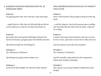# Kejseren sender embedsmænd til at **4**inspicere tøjet

#### Kejseren

Nu gad jeg godt vide, hvor vidt de er nået med tøjet,

*… sagde kejseren. Men han var lidt underlig om hjertet ved at tænke på, at den der var dum intet kunne se.*

#### Kejseren

Jeg sender først min gamle skikkelige minister! For han har forstand, og ingen passer sit embede som han.

*Og ministeren gik hen til bedragerne.*

Bedrager 2 Ah, Monsieur le Ministre!

*Og bedragerne pegede på den tomme væv.*

Bedrager 1 Er farverne ikke dejlige? Er mønstret ikke smukt?

# The Emperor sends officials to inspect THE CLOTH

#### Emperor

Now I will examine what progress they do with my cloth.

*… said the Emperor. But he felt uneasy when recalling and remembering that those who are fools, could not see a thing.*

#### Emperor

I send at first my trusted minister and true servant, for he is wise, and none is more fit for office than he.

*And the minister went off to the swindlers.*

Swindler 2 Ah, Monsieur le Ministre!

*And the swindlers they pointed at the empty loom. (Choir and swindlers pointing)*

Swindler 1 The colours aren't they brilliant? Behold the bold design!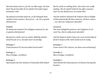*Men han kunne intet se, for der var ikke noget. Var han dum? Duede han ikke til sit embede? Det måtte ingen mennesker vide!*

*Og ministeren fortalte kejseren, at det behagede ham særdeles! Dette mønster, disse farver … Ja, det er ganske allerkæreste!*

#### Hoffolk

De skønneste kulører! Det dejligste mønster! Ja, det er ganske allerkæreste!

*Og kejseren sendte snart en anden skikkelig embedsmand hen for at se, om tøjet snart var færdigt.*

Bedrager 1 Træd nærmere! Er farverne ikke henrivende?

Bedrager 2 Bleu d'indigo, vermillon!

Bedrager 1 Og bemærk det fine mønster af kinesiske flad-finker! *But he could see nothing there, since there was really nothing. Was he dumb? Unfit for his office and position? No one should never ever know this!*

*And the minister informed the Emperor that it delighted him immensely! All these patterns, all these colours … Yes, this was really most adorable!*

#### **Courtiers**

The most delightful patterns, the brightest of colours! Yes, this is really most adorable!

*And the Emperor before long sent a new trustworthy official to inspect if the cloth would soon be ready.*

Swindler 1 Come closer! The colours, are these not enchanting?

Swindler 2 Bleu d'indigo, vermillon!

Swindler 1 And behold this fitted pattern of Chinese flaring flatfinches!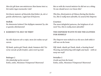*Men det gik ham som ministeren: Han kunne intet se. Det måtte ingen mennesker vide!*

*Det fineste mønster af kinesiske flad-finker. Ja, det er ganske allerkæreste, sagde han til kejseren.*

#### Hoffolk

De skønneste kulører! Det dejligste mønster! Ja, det er ganske allerkæreste!

#### Kejseren vil selv se tøjet **5**

*Nu ville Kejseren selv se tøjet, mens det endnu var på væven.*

*Pif dunk, spolen går! Dunk, dunk, bommen slår! Væverne vævede af alle kræfter, uden trævl og tråd.*

Bedrager 2 *(Ser pludseligt op fra væven)* Enfin, enfin, Monsieur l'Empereur! Bienvenu! *But as with the trusted minister he did not see a thing. No one should never ever know this!*

*This fine, fitted pattern of Chinese flaring flat-finches. Yes, this is really most adorable, he assured the Emperor.*

#### Courtiers

The most delightful patterns, the brightest of colours! Yes, this is really most adorable!

# The Emperor wants to see the clothes FOR HIMSELF

*The Emperor now wished to see his new cloth while it still was on the loom:*

*Piff, dunk, shuttle go! Dunk, dunk, a beating beam! Weaving and labouring with might and main – with no warp nor weft!*

Swindler 2 *(Looks up from the loom)* Enfin, enfin, Monsieur l'Empereur! Bienvenu!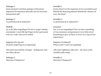#### Bedrager 1

Kom nærmere! Lad Dem opsluges af Kunstens mysterier! Se mønstrets dirrende uro! Se farvernes besnærende spil!

Bedrager 2 La perfection de la séduction!

## Hoffolk

Ja, er det ikke magnifique! Nu har vi noget virkelig enestående i vores lille by! Noget så fint og fornemt som var vi ude i den store verden!

Kejseren *(For sig selv)* Hvad for noget! Jeg ser jo ingenting!

*(Det indre mareridt får overtaget – bedragernes stemmer bliver fjerne)*

Bedrager 2 Monsieur l'Empereur?

### Swindler 1

Come closer! Let the mysteries of art overwhelm you! Behold the fluttering pattern! Behold the vibrant colours, the blaze!

Swindler 2 La perfection de la séduction! !

#### **Courtiers**

Yes, is it not magnifique! Now we have something of true eminence and greatness in our little town! Something to give us fame, as were we a city of true importance!

Emperor *(To himself)* What is this? I can't see anything!

*(The inner nightmare takes over – the voices of the swindlers fade away)*

Swindler 2 Monsieur l'Empereur?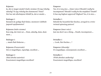#### Kejseren

Ja, det er meget smukt! *(indre stemme:)* Er jeg virkelig uduelig? Er jeg virkelig den dummeste? Dum? Det har mit allerhøjeste bifald! Ja, det er smukt *…*

Bedrager 1 Bemærk de yndige flad-finker, monteret i dobbelt jaquard-spejlmønster!

Kejseren *(indre stemme)* Kun mig, der intet ser *…* Dum, uduelig, dum, dummest …

Bedrager 1 *…* mærk flad-finkerne *…*

Kejseren *(Fraværende)* Det er magnifique, nysseligt, excellent …

Bedrager 2 *(Med absolut autoritet)* Exactement magnifique excellent!

#### Emperor

Yes, it is very nice *… (inner voice:)* Should I really be incompetent? Should I really be the stupidest? Dumb? It has my highest approval! Highest! Yes, it is nice *…*

Swindler 1

Behold the beautiful flat-finches, arrayed in a twintwisted spinning pattern!

Emperor *(inner voice)* Just me don't see a thing *…* Dumb, incompetent *…*

Swindler 1 *…* Look, flat-finches *…* !

Emperor *(Absently)* It's *magnifique,* unsurpassed, excellent …

Swindler 2 *(With absolute authority)* Exactement magnifique, excellent!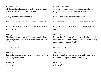Kejseren *(Vågner op)* Til disse skikkelige mænd giver jeg hermed ridderkorset og titel af første vævejunkere!

*(Hænger ridderkors i knaphullet)*

For de skønneste fremskridt i Kunstens tjeneste!

# Klæder bliver syet og kejseren bliver **6**klædt på

#### Bedrager 1

Men kære Kejser! Hvorfor ikke tage i klæder dette nye prægtige tøj ved den store procession, der forestår?

# *Så blev der travlt!*

# Bedrager 1

Lad 16 lys brænde hele natten, så vi kan nå at få kejserens nye klæder færdige!

Bedrager 2 Allez vite!

Emperor *(Wakes up)* To these two honourable men I hereby confer the knighthood and token of Master Weaver!

*(Pins their medallions in their button-holes)*

For most notable deeds in the service of the arts!

# Clothes are sewn and the Emperor is **DRESSED**

# Swindler 1

But my dear Emperor! Why not turn this lovely and extr'ordinary cloth into robes for the splendid stately pageant you're soon to lead?

# *Oh, what a haste!*

## Swindler 1

Leave 16 candles burning day and night, that we in time get the Emperor's new clothes ready!

Swindler 2 Allez-vite!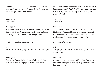*Gennem vinduet så folk, hvor travlt de havde; De lod som tog de tøjet af væven, de klippede i luften med store sakse, de syede med synål uden tråd.*

# Bedrager 2 Attention!

# Bedrager 1

Kejserens nye klæder er færdige! Deres højhed! Mine herrer Ministre! Se dette kunstværk i silke og brokade! Se kjolen, se kappen; se det dejlige slæb!

*(Lader som om han holder det op)*

Alle *MEN INGEN SÅ NOGET, FOR DER VAR IKKE NOGET.*

# Bedrager 1

Tag straks Deres klæder af, kære Kejser, og lad os allernådigst give det nye på herhenne ved spejlet.

*People saw through the window how hard they laboured; They feigned to roll the cloth off the looms, they cut into the air with giant scissors, they sewed with tiny needles with no thread.*

Swindler 2 Attention!

# Swindler 1

The Emperor's new clothes are ready! Oh, your Highness! ! My dear Ministers! Welcome! Look at this wonder of silk, brocade and laces; the doublet, the breeches; look, this breathtaking train!

*(Pretends to lift the train)*

# All

*BUT SINCE THERE WAS NOTHING, NO ONE SAW ANYTHING.*

# Swindler 1

At once take your garments off my dear Emperor, and let us finally most humbly fit your new clothes here at the mirror.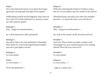#### Kejser

Det er den skønneste kunst at ret pynte den kongelige krop! Lad mig nyde min figur foran spejlet!

*(Påklædning parallelt med det følgende: Tager ham om livet, lader til at binde slæbet fast etc. Kejseren vender og vrider sig foran spejlet)*

Bedrager 2 Ahh … Magie de transformation *…*

*Ja, se dette kunstværk i silke og brokade!*

#### Bedrager 1

Og mærk: Tøjet er let som spindelvæv! *(Finurligt:)*  Man skulle tro, man havde ingenting på kroppen – men det er just dyden ved det!

Bedrager 2 La vertu même!

Kejser La vertu même *…* ?

*Så let som spindelvæv …*

#### Emperor

With taste adorning the Emperor's body is truly a fine art. Let me admire my new clothes in the mirror!

*(Simultaneously a dressing scene where the swindlers pretend i. e. to attach the train, correct the fit etc.)*

Swindler 2 Ahh … Magie de transformation *…*

*Yes, look at this wonder of silk, brocade and laces!*

#### Swindler 1

And note; These clothes are light as spider web! *(Cunningly)* Yes, you could fancy you wore nothing indeed! That's the true virtue of it!

Swindler 2 La vertu même!

Emperor La vertu même *…* ?

*… light as a spider web …*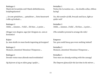Bedrager 1 Mærk det levantiske snit! Mærk dobbeltkraven, kniplingskanten!

*… let som spindelvæv, … spindelvæv … Dette kunstværk i silke og brokade …*

Bedrager 2 Ahhh, … mmmm … Voilà! *…* Eh bien … à point …

*(Stryger over dragten, tager fat i kroppen etc. som en kostumier)*

Kejser Ja, man skulle tro man havde ingenting på kroppen!

Bedrager 2 Moment, attention! Monsieur l'Empereur *…*

Bedrager 1 Derude venter man allerede med tronhimlen!

*Og kejseren så sig en sidste gang i spejlet …*

Swindler 1 Notice the Levantine cut, *…* the double collar, ribbon lacing!

*Yes, this wonder of silk, brocade and laces, light as spider web!*

Swindler 2 Ahhh, … mmmm …Voilà! *…* Eh bien … à point …

*(The swindlers pretend to arrange the robe)*

Emperor Yes, you could fancy you wore nothing indeed!

Swindler 2 Moment, attention! Monsieur l'Empereur *…*

Swindler 1 Your men are already waiting with the canopy!

*The Emperor glanced for the last time in the mirror …*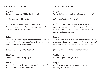#### Den store procession **7**

Kejseren Ja, jeg er jo i stand *…* Sidder det ikke godt?

## *(Bedragerne fortrækker diskret)*

*Og kejseren gik gennem gaderne under den dejlige tronhimmel, og kammerherrerne gik og holdt i luften, og lod som om de bar det dejligste slæb.*

#### Folket

Gud, hvor kejserens nye klæder er mageløse! Hvilket dejligt slæb han har på kjolen! Hvor det sidder velsignet! Ja, det er en kostbar dragt!

*(Kejseren nikker og vinker til folket)*

Lille barn Men han har jo ikke noget på!

### Folket

Der er et lille barn, der siger: Han har ikke noget på! Ha, ha! Han har jo ikke noget på!

# THE GREAT PROCESSION

Emperor Yes, well, it should be all set … Isn't the fit à point?

*(The swindlers leave discretely)*

*And the Emperor walked through the streets and squares, under the wonderful canopy. And all his chamberlains followed holding nothing, pretending to bear a breathtaking train.*

#### People

Ahh, the Emperor's new clothes are wonderful! What a coat and what a lovely train! It fits him to perfection! How it fits to perfection! Yes, this is a costly dress!

*(The Emperor nods and waves to the people)*

Child *(spoken)* But he has got nothing on at all!

#### People

A little child is saying: He has got nothing on at all! He has got nothing on at all!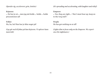*(Spreder sig, accelererer; grin, lettelse)*

Kejseren *…* De har jo ret *…* men jeg må holde *…* holde *…* holde processionen ud!

Folket Ha, ha, ha! Han har jo ikke noget på!

*(Lys går ned til fokus på kun kejseren. Vi oplever hans mareridt)*

*(It's spreading and accelerating, with laughter and relief)*

Emperor

*…* Yes, they are right *…* ! But I must bear up, keep on to the very end! !

People He has got nothing on at all!

*(Lights dim to focus only on the Emperor. We experience his nightmare.)*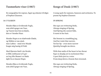# Tusmørkets viser (1987)

En sangcyklus for sopran, fagot og orkester til digte af Sophus Claussen.

## **14 I VAAREN**

Hendes Øjne er kvidrende Fugle, som altid synger om Vaar, og Vaaren kan hun ej skjule, den er i hendes Haar.

Hendes Bryst er en skælvende Glæde, og Midien er saa smal, men Læben – smal over Maade bragte mig hastig til Fald.

Med Hjertets Smil i sin Strube et Blik omblaanet af Lyst – en kry lille Skæmt i et Mæle dybt fra et daanet Brust.

Hendes Øjne er kvidrende Fugle, som altid synger om Vaar,

# Songs of Dusk (1987)

A song cycle for soprano, bassoon and orchestra. To poems by Sophus Claussen

# In Spring

Her eyes are twittering birds, Always singing of Spring, And Spring she cannot hide, It nests in her hair.

Her bosom is a trembling joy, And her waist that narrow, Yet her lip – even more narrow Quickly brought me down.

With that smile of the heart in her throat Eyes so deeply set in excitement blue – A pert little jest in a voice From deep down a bosom that swooned.

Her eyes are twittering birds, Always singing of Spring,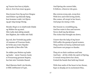og Vaaren kan hun ej skjule, den er, hvor hun staar og gaar.

Hun kroner hver Eg og hver Bregne med Elskov og elskende Spøg, hun kommer svøbt i sit Hjerte og gør mig mange Besøg.

Hendes Bryst er en skælvende Glæde og Midien fin og smal. Min Læbe skal aldrig smæde den Rigdom, der voldte mit Fald.

Jeg ved, den Veninde jeg ynder vil rammes af Fruernes Snak, de hviler paa svære Hynder og kender ej Bøn eller Tak.

De sidder paa Bolstre og hader og hader – mens Vaarens Aand, et Foraarssug gennem Brystet, har løst min Venindes Baand.

Med Hjertets Smil i sin Strube, et Blik omblaanet af Lyst,

And Spring she cannot hide, It follows, wherever she goes.

She crowns every oak, every fern With love and with loving mirth, She comes, all swept in her heart, And pays me many a visit.

Her bosom is a trembling joy, And her waist is fine and narrow. Never shall my lip defame The riches that brought me down.

I know that the lady of my heart Will suffer the gossip of good women, They recline on heavy cushioned seats And know not prayer or thanks.

They sit on their cushions and hate And hate – all the while the spirit of Spring, A vernal sweep down her chest, Untied the bands that held my friend.

With that smile of the heart in her throat, Eyes so deeply set in excitement blue,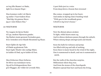en kry lille Skæmt i et Mæle, dybt fra et daanet Bryst –

Hun kommer svøbt i sit Hjerte og smiler i Vaarvindens Brus: "Med dig i de grønne Skove jeg er i min Elskers Hus."

#### 15 NOCTURNE

Nu vaagner de fjerne Steder til Lys, medens Hjerterne græder. Og Mørket stumt gennem Forstaden gaar, hvor Armoden sover blandt Skrammel og Skaar.

Snart fyldes de rige Sale af Glæde og glemsom Tale. Snart lyder Musik i den natlige Blæst, én kaldes til Død, og én kaldes til Fest.

Men Kirkernes Mure forbavse. De bliver saa tusindaars-tavse. Og ud fra Kirkegaardenes Sten gror Skygger, der volder de Levende Mén. A pert little jest in a voice From deep down a bosom that swooned –

She comes, wrapped up in her heart, And smiles in Spring-time's bustling wind: "With you in the woodlands green I dwell in my lover's house."

## **NOCTURNE**

Now the distant places awaken To light, while hearts must cry. And in silence darkness passes through the suburb, Where misery sleeps amongst junk and shards.

Soon the halls for richness and pomp Are filled with joy and talk of nothing. Soon there is music heard in the wind of the night, One is summoned to death, and one is summoned to mirth.

But the walls of the churches surprise. Millennium-silent they wax. And from the stones of the churchyards Shadows spread that hurt and harm the living.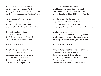Der sidder et Barn paa et Gærde og lér, – som var intet paa Færde. Dog kysser en Mund hendes varme Mund, det Kys skal hun mærke til Dødens Stund.

Men Livsmodet knuser Vingen mod Mure, der huses af Ingen. De sorte Ruder, de mørke Tegl er en Gaade, lukket med hundrede Segl.

Og kolde og skumle ligger de nys saa travle Fabrikker. Og Kvinder søger langs Gadens Flis en Udvej fra Livets sidste Forlis.

# 16 KAVALLERSORGER

Dingle-Dangle hed hans Fader, Kavallér af bedste Slags, sprang og sprætted, som en Laks med de pynteligste Lader – Kongen raabte ligestraks: "Du skal hedde d'Ingel-Faks!"

A child sits perched on a fence And laughs – as if nothing were afoot. Yet a mouth kisses her mouth so warm, A kiss that she will feel till kissed by Death.

But the zest for life breaks its wing Against walls where no one lives. The black panes, the dark bricks: An enigma they are, closed with a hundred seals.

And cold and dismal lie The factories, their bustle suddenly halted. And women walk the sordid street in search Of escape from life's defeat, the last in a line.

## Cavalier Worries

Dingle-Dangle was the name of his father, A gentleman of the first order, Jumped and tossed, like a salmon Versed to perfection in courtly manners – The king cried at once: "Your name henceforth is d'Ingel-Faks!"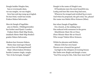Dangle hedder Dingles Søn, han er overmaade skøn, var saa ranglet, var saa ringlet, hvor han end sig svang og svingled. Da han fried, vandt han straks Frøken Sisken Sølversaks.

Men da Dangle d'Ingelfaks paa en Bænk, i Middagsstunden har forført med Pjank i Lunden Frøken Mette-Mød-Mig-Straks, (stakkels Mette-Mød-Mig-Straks!) græder Sisken Sølversaks.

Medens han forsoner Sisken, Mette slaar med egen Haand om en Gren sit Strømpebaand! Højt i Aftenvindens Hvisken hendes Lemmer ringle, rangle: "Det vil du fortryde, Dangle!"

Dangle is the name of Dingle's son, Of handsome men the most beautiful one, Lanky and lean like none they had seen, Wherever he swayed and swished by at court. And when he proposed, the girl cried, Yes, please! Her name was Siskin Silver Scissors (Miss).

But when Dangle d'Ingelfaks On a bench, at the midday hour Has seduced with nonsense in the grove MissMinnie-Meet-Me-at-Once (Poor Minnie-Meet-Me-at-Once!) Who weeps? Siskin Silver Scissors.

Whilst he placates said Siskin, Minnie with her own hand Throws over a branch her garter! Up high in the whispers of evening breeze Her limbs now dingle and dangle a tune: "You'll be sorry for this, Faks fixer most foul!"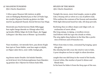# 17 MAANENS TUNGSIND *Efter Charles Baudelaire*

I Aften synes Maanen lidt trættere at glide som en blødagtig Skønhed paa et Hav af Puder lagt, der strejfer Brystets Omrids og glatter sin Side med let og adspredt Haand, førend Søvnen faar Magt.

Henstrakt paa Snelavinernes bløde Silkerygge hun nyder længe døende en Afmagt uden Ord, og hendes Blikke følger de hvide Skyer, der bygge Luftsyner i det Blaa som et Blomst- og Greneflor.

Naar stundum, i sit tærende Savn, paa denne Kugle hun tyst en Taare fælder, som hun søgte at skjule, en Digter uden Søvn, som i stille Andagt gik,

tog denne matte Draabe i de hulede Hænder, en hvid Juvel, hvis Perlemorsglimmer ham blænder; og gemmer den i Hjertet for Solens hede Blik.

# Spleen of the Moon *After Charles Baudelaire*

Tonight the moon, more tired maybe, seems to glide Like a beauty soft as velvet on a sea of pillows laid, Who outlines the contours of her bosom and smoothes With light distracted hand her side, till sleep prevails.

Reclining thus on silken slopes and ridges soft, on avalanches of snow afloat, She long enjoys, in dying, a wordless swoon And follows with her eyes the clouds so white, The airy sights they fashion in the blue like a profusion of flowers and of branches too.

When from time to time, consumed by longing, upon this globe She silently lets fall a tear she tried in vain to hide, A poet sleepless on foot at night in silent devotion

caught that one dull drop in the vessel of his hands, A jewel white, like mother of pearl it shines and blinds him;

In his heart he hides it from the fiery eyes of the sun.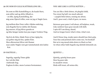#### Du som en lille Kattekilling er … **18**

Du som en lille Kattekilling er, du kaade Barn, som altfor sød og altfor tilbedt er, – en lille, lystig Kattekilling, der mig arme Djævel triller, som var jeg et Nøgle Garn.

Jeg mellem dine Poter ruller viljeløs omkring, som Regnbu'farver skifter dit Humør. Jeg snurrer, til jeg bliver ganske ør og ikke længer tænke kan paa nogen Verdens Ting.

Og hvis de bitte, bløde Poter ej faar rigtig fat, saa griber mig de fine, spidse Klør. Men allersortest bliver mit Humør naar andre Nøgler rent gør tummelumsk min kælne Kat.

#### 19 SAGTELIG ...

Sagtelig, sagtelig Timer glide her ved din Side i duftende Eng. Fuglene kvidre, mens Larmen forstummer;

#### YOU ARE LIKE A LITTLE KITTEN ...

You are like a little kitten, oh playful child, Too sweet by half, too much adored, – a joyful little kitten, tossing me about, And I, poor soul, a ball of yarn, no more.

Between your paws I roll about, all helpless, weak, Like rainbow hues your moods will shift. I spin till I am dizzy, dazed, And no longer know what's what, what's not.

And if those tiny, tender paws should lose their grip, Your fine and pointed claws come out, I'm hooked! But ne'er my mood sinks down to black so fast As when other balls beguile my skittish kittenish cat.

#### **OUIETLY ...**

Quietly, quietly hours pass Here by your side In meadow sweet. Birds still tweet, all noises die;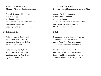stille om Majløvets Hæng Mygget i Aftenens Solglans summer.

Sagtelig Øjnene vil jeg lukke, lade mig vugge i elskende Drøm. Om mig din Arm saa buttet og liden ligger beskyttende øm. Sagtelig, sagtelig glider Tiden ...

# Kærlighed **20**

Tal ej om skuffet Kærlighed og Hjærter, som er brudt! man gør sig lidt Besværlighed og ta'r en ny til slut.

Tal ej om evig Kærlighed! vort Hjærte kun slaar Smut; det hopper let fra Sted til Sted og synker træt til slut.

A quiet mosquito up high In golden sunset buzzes round leaves of May.

Quietly I will close my eyes, Let myself be craddled By loving dream. Around me your arm so chubby and small Is wrapped, all tender protection. Quietly, quietly time passes ...

# **LOVE**

Don't mention love that was thwarted And hearts that were broken! One suffers a bit of inconvenience, Then finds someone new in the end.

Don't mention eternal love! Our heart plays ducks and drakes; It skips and hops from place to place And then sinks down, all spent for now.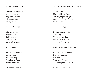#### Vaarsang ved Jul **21**

Tusmørkets Stjerner rimblege staar. Sig, min Veninde, bliver det Vaar nu ingen Sinde?

Ak, min Veninde!

Skoven er øde, Vejen er bar, Lykken, der døde, giver ej Svar ... Frysende Kroner.

Intet forsoner.

Findes dog Balsam for vore Saar? Er det en evig Sandhed og Vaar, Stjernerne øser ...?

Mildheds Forløser.

#### Spring Song at Christmas

At dusk the stars Hover white as frost. Tell me, my lovely girl, Is there no hope of Spring, Now or ever?

Ah, my lovely girl!

Deserted the woods. All empty the road. The bliss that died Has no answer to give ... Treetops that freeze.

Nothing brings redemption.

Can balm be found yet For our wounds? Is it eternal Truth and Spring The stars pour down ...?

Releaser of mildness.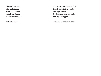Tusmørkets Ynde Skovdybet naar. Stjernelys smiler tyst, hvor vi gaar. Ak, min Veninde –

er Højtid inde?

The grace and charm of dusk Reach far into the woods. Starlight smiles In silence, where we walk. Oh, my lovely girl –

Time for celebration, now?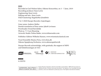#### **DDD**

Recorded at Carl Nielsen Salen, Odense Koncerthus, on 3 – 7 June, 2019 Recording producer: Sean Lewis Engineering: Sean Lewis Editing and mix : Sean Lewis SACD mastering: Ragnheiður Jónsdóttir

<sup>P</sup> & © 2020 Dacapo Records, Copenhagen

Liner notes: Andrew Mellor Danish translation of liner notes: Jakob Levinsen Proofreader: Svend Ravnkilde Photo p. 7 © Lars Skaaning Artwork: Studio Tobias Røder, www.tobiasroeder.com

Publisher: Edition Wilhelm Hansen, www.wisemusicclassical.com

Vocal Ensemble Musica Ficta, www.ficta.dk Odense Symphony Orchestra, www.odensesymfoni.dk

Dacapo Records acknowledge, with gratitude, the support of MPO and Solistforeningen af 1921



**DACAPO** 

6.220701



Dacapo Records, Denmark's national record label, was founded in 1989 with the purpose of releasing the best of Danish music past and present. The majority of our recordings are world premieres, and we are dedicated to producing music of the highest international standards.